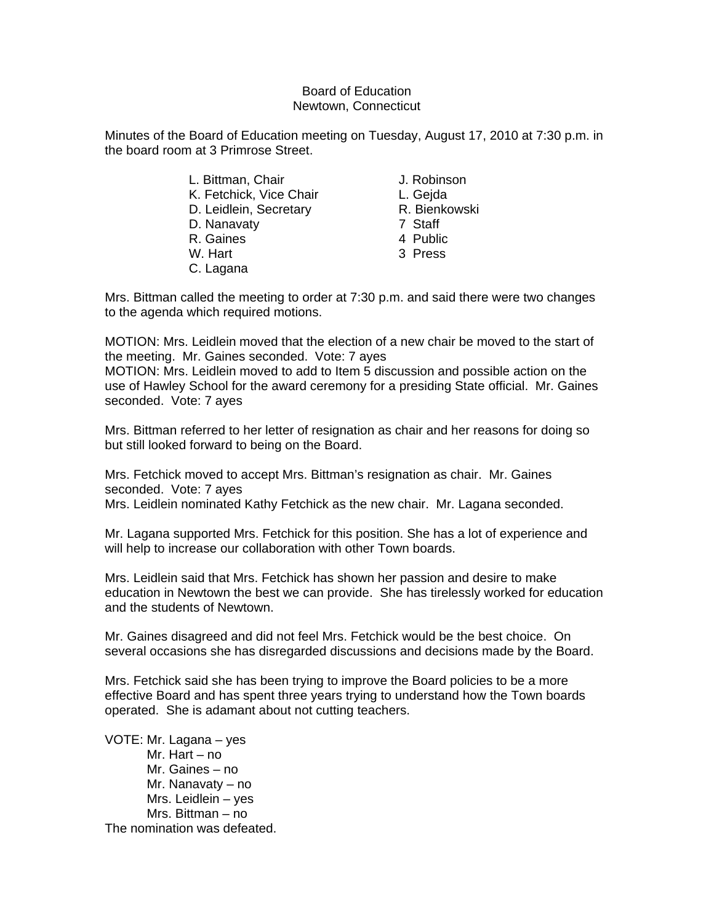## Board of Education Newtown, Connecticut

Minutes of the Board of Education meeting on Tuesday, August 17, 2010 at 7:30 p.m. in the board room at 3 Primrose Street.

- L. Bittman, Chair **J. Robinson** K. Fetchick, Vice Chair L. Gejda D. Leidlein, Secretary **R. Bienkowski** D. Nanavaty 7 Staff R. Gaines 4 Public W. Hart 3 Press
- C. Lagana
- 
- -
- 
- 
- 

Mrs. Bittman called the meeting to order at 7:30 p.m. and said there were two changes to the agenda which required motions.

MOTION: Mrs. Leidlein moved that the election of a new chair be moved to the start of the meeting. Mr. Gaines seconded. Vote: 7 ayes

MOTION: Mrs. Leidlein moved to add to Item 5 discussion and possible action on the use of Hawley School for the award ceremony for a presiding State official. Mr. Gaines seconded. Vote: 7 ayes

Mrs. Bittman referred to her letter of resignation as chair and her reasons for doing so but still looked forward to being on the Board.

Mrs. Fetchick moved to accept Mrs. Bittman's resignation as chair. Mr. Gaines seconded. Vote: 7 ayes

Mrs. Leidlein nominated Kathy Fetchick as the new chair. Mr. Lagana seconded.

Mr. Lagana supported Mrs. Fetchick for this position. She has a lot of experience and will help to increase our collaboration with other Town boards.

Mrs. Leidlein said that Mrs. Fetchick has shown her passion and desire to make education in Newtown the best we can provide. She has tirelessly worked for education and the students of Newtown.

Mr. Gaines disagreed and did not feel Mrs. Fetchick would be the best choice. On several occasions she has disregarded discussions and decisions made by the Board.

Mrs. Fetchick said she has been trying to improve the Board policies to be a more effective Board and has spent three years trying to understand how the Town boards operated. She is adamant about not cutting teachers.

VOTE: Mr. Lagana – yes Mr. Hart – no Mr. Gaines – no Mr. Nanavaty – no Mrs. Leidlein – yes Mrs. Bittman – no The nomination was defeated.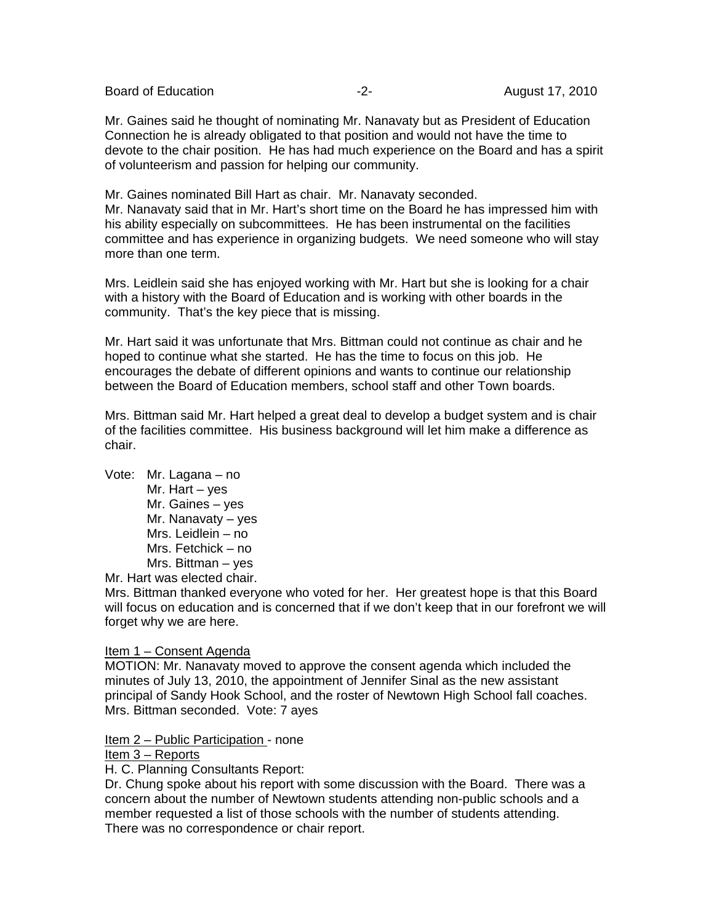Board of Education **-2-** August 17, 2010

Mr. Gaines said he thought of nominating Mr. Nanavaty but as President of Education Connection he is already obligated to that position and would not have the time to devote to the chair position. He has had much experience on the Board and has a spirit of volunteerism and passion for helping our community.

Mr. Gaines nominated Bill Hart as chair. Mr. Nanavaty seconded. Mr. Nanavaty said that in Mr. Hart's short time on the Board he has impressed him with his ability especially on subcommittees. He has been instrumental on the facilities committee and has experience in organizing budgets. We need someone who will stay more than one term.

Mrs. Leidlein said she has enjoyed working with Mr. Hart but she is looking for a chair with a history with the Board of Education and is working with other boards in the community. That's the key piece that is missing.

Mr. Hart said it was unfortunate that Mrs. Bittman could not continue as chair and he hoped to continue what she started. He has the time to focus on this job. He encourages the debate of different opinions and wants to continue our relationship between the Board of Education members, school staff and other Town boards.

Mrs. Bittman said Mr. Hart helped a great deal to develop a budget system and is chair of the facilities committee. His business background will let him make a difference as chair.

Vote: Mr. Lagana – no Mr. Hart – yes Mr. Gaines – yes Mr. Nanavaty – yes Mrs. Leidlein – no Mrs. Fetchick – no Mrs. Bittman – yes

Mr. Hart was elected chair.

Mrs. Bittman thanked everyone who voted for her. Her greatest hope is that this Board will focus on education and is concerned that if we don't keep that in our forefront we will forget why we are here.

## Item 1 – Consent Agenda

MOTION: Mr. Nanavaty moved to approve the consent agenda which included the minutes of July 13, 2010, the appointment of Jennifer Sinal as the new assistant principal of Sandy Hook School, and the roster of Newtown High School fall coaches. Mrs. Bittman seconded. Vote: 7 ayes

Item 2 - Public Participation - none

# Item 3 – Reports

H. C. Planning Consultants Report:

Dr. Chung spoke about his report with some discussion with the Board. There was a concern about the number of Newtown students attending non-public schools and a member requested a list of those schools with the number of students attending. There was no correspondence or chair report.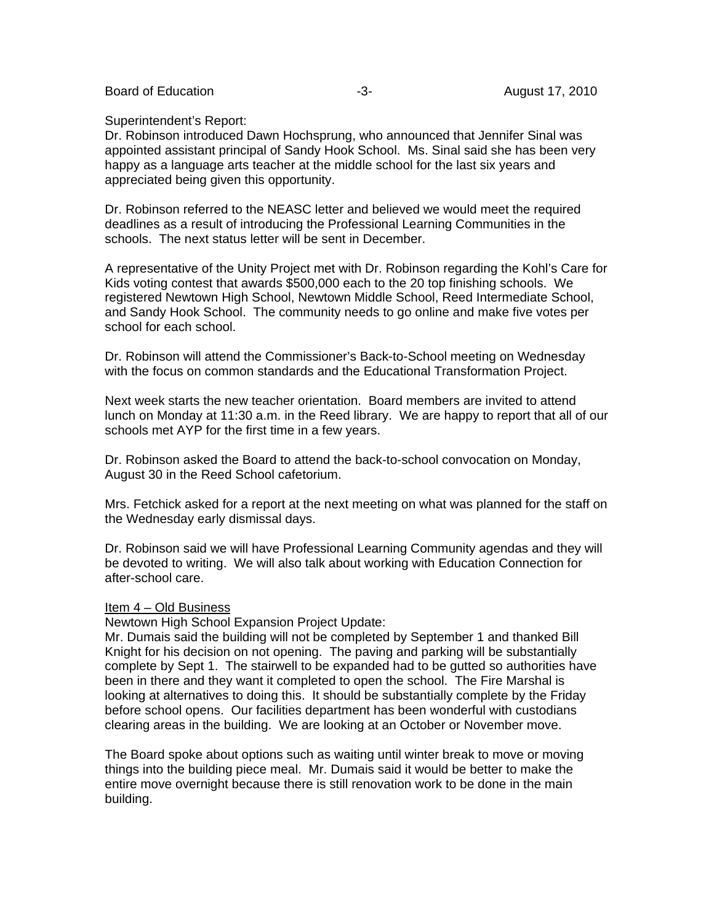Board of Education **-3-** August 17, 2010

Superintendent's Report:

Dr. Robinson introduced Dawn Hochsprung, who announced that Jennifer Sinal was appointed assistant principal of Sandy Hook School. Ms. Sinal said she has been very happy as a language arts teacher at the middle school for the last six years and appreciated being given this opportunity.

Dr. Robinson referred to the NEASC letter and believed we would meet the required deadlines as a result of introducing the Professional Learning Communities in the schools. The next status letter will be sent in December.

A representative of the Unity Project met with Dr. Robinson regarding the Kohl's Care for Kids voting contest that awards \$500,000 each to the 20 top finishing schools. We registered Newtown High School, Newtown Middle School, Reed Intermediate School, and Sandy Hook School. The community needs to go online and make five votes per school for each school.

Dr. Robinson will attend the Commissioner's Back-to-School meeting on Wednesday with the focus on common standards and the Educational Transformation Project.

Next week starts the new teacher orientation. Board members are invited to attend lunch on Monday at 11:30 a.m. in the Reed library. We are happy to report that all of our schools met AYP for the first time in a few years.

Dr. Robinson asked the Board to attend the back-to-school convocation on Monday, August 30 in the Reed School cafetorium.

Mrs. Fetchick asked for a report at the next meeting on what was planned for the staff on the Wednesday early dismissal days.

Dr. Robinson said we will have Professional Learning Community agendas and they will be devoted to writing. We will also talk about working with Education Connection for after-school care.

## Item 4 – Old Business

Newtown High School Expansion Project Update:

Mr. Dumais said the building will not be completed by September 1 and thanked Bill Knight for his decision on not opening. The paving and parking will be substantially complete by Sept 1. The stairwell to be expanded had to be gutted so authorities have been in there and they want it completed to open the school. The Fire Marshal is looking at alternatives to doing this. It should be substantially complete by the Friday before school opens. Our facilities department has been wonderful with custodians clearing areas in the building. We are looking at an October or November move.

The Board spoke about options such as waiting until winter break to move or moving things into the building piece meal. Mr. Dumais said it would be better to make the entire move overnight because there is still renovation work to be done in the main building.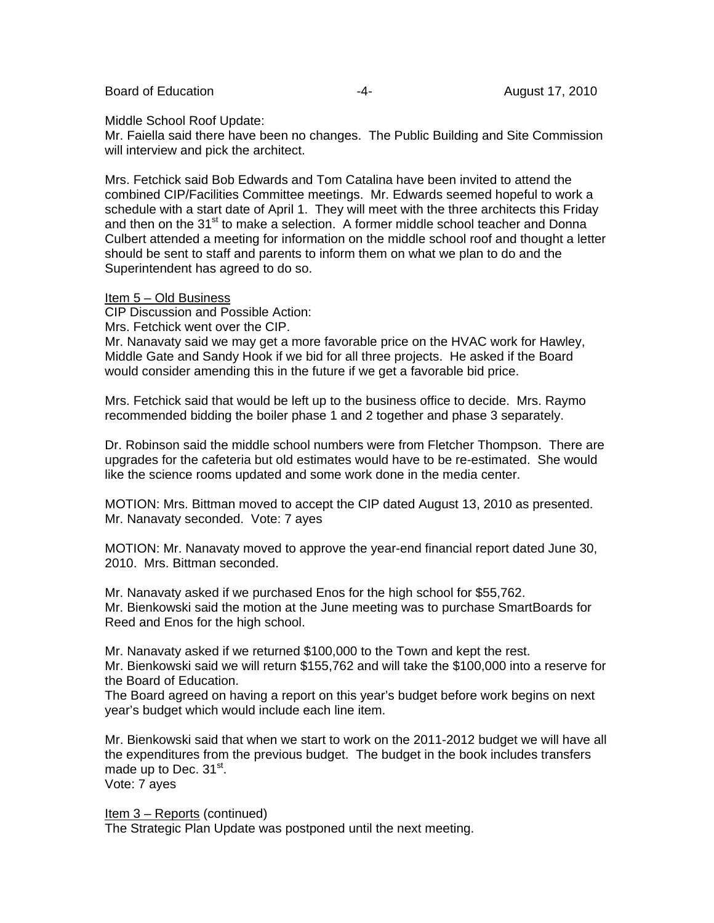Board of Education **-4-** August 17, 2010

Middle School Roof Update:

Mr. Faiella said there have been no changes. The Public Building and Site Commission will interview and pick the architect.

Mrs. Fetchick said Bob Edwards and Tom Catalina have been invited to attend the combined CIP/Facilities Committee meetings. Mr. Edwards seemed hopeful to work a schedule with a start date of April 1. They will meet with the three architects this Friday and then on the  $31<sup>st</sup>$  to make a selection. A former middle school teacher and Donna Culbert attended a meeting for information on the middle school roof and thought a letter should be sent to staff and parents to inform them on what we plan to do and the Superintendent has agreed to do so.

#### Item 5 – Old Business

CIP Discussion and Possible Action:

Mrs. Fetchick went over the CIP.

Mr. Nanavaty said we may get a more favorable price on the HVAC work for Hawley, Middle Gate and Sandy Hook if we bid for all three projects. He asked if the Board would consider amending this in the future if we get a favorable bid price.

Mrs. Fetchick said that would be left up to the business office to decide. Mrs. Raymo recommended bidding the boiler phase 1 and 2 together and phase 3 separately.

Dr. Robinson said the middle school numbers were from Fletcher Thompson. There are upgrades for the cafeteria but old estimates would have to be re-estimated. She would like the science rooms updated and some work done in the media center.

MOTION: Mrs. Bittman moved to accept the CIP dated August 13, 2010 as presented. Mr. Nanavaty seconded. Vote: 7 ayes

MOTION: Mr. Nanavaty moved to approve the year-end financial report dated June 30, 2010. Mrs. Bittman seconded.

Mr. Nanavaty asked if we purchased Enos for the high school for \$55,762. Mr. Bienkowski said the motion at the June meeting was to purchase SmartBoards for Reed and Enos for the high school.

Mr. Nanavaty asked if we returned \$100,000 to the Town and kept the rest. Mr. Bienkowski said we will return \$155,762 and will take the \$100,000 into a reserve for the Board of Education.

The Board agreed on having a report on this year's budget before work begins on next year's budget which would include each line item.

Mr. Bienkowski said that when we start to work on the 2011-2012 budget we will have all the expenditures from the previous budget. The budget in the book includes transfers made up to Dec.  $31<sup>st</sup>$ . Vote: 7 ayes

Item 3 – Reports (continued)

The Strategic Plan Update was postponed until the next meeting.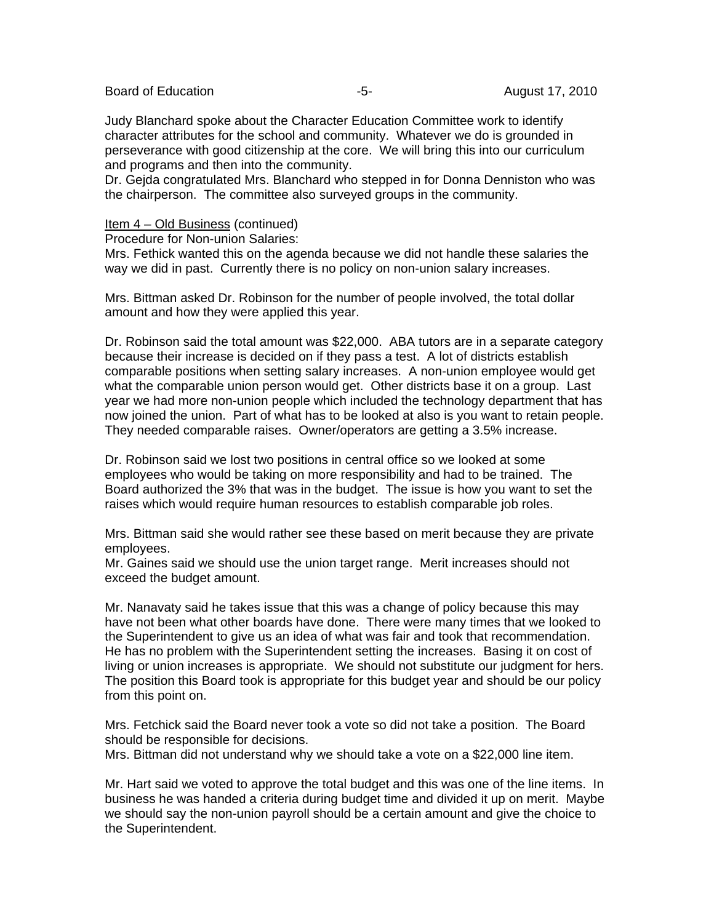Board of Education **-5-** August 17, 2010

Judy Blanchard spoke about the Character Education Committee work to identify character attributes for the school and community. Whatever we do is grounded in perseverance with good citizenship at the core. We will bring this into our curriculum and programs and then into the community.

Dr. Gejda congratulated Mrs. Blanchard who stepped in for Donna Denniston who was the chairperson. The committee also surveyed groups in the community.

#### Item 4 – Old Business (continued)

Procedure for Non-union Salaries:

Mrs. Fethick wanted this on the agenda because we did not handle these salaries the way we did in past. Currently there is no policy on non-union salary increases.

Mrs. Bittman asked Dr. Robinson for the number of people involved, the total dollar amount and how they were applied this year.

Dr. Robinson said the total amount was \$22,000. ABA tutors are in a separate category because their increase is decided on if they pass a test. A lot of districts establish comparable positions when setting salary increases. A non-union employee would get what the comparable union person would get. Other districts base it on a group. Last year we had more non-union people which included the technology department that has now joined the union. Part of what has to be looked at also is you want to retain people. They needed comparable raises. Owner/operators are getting a 3.5% increase.

Dr. Robinson said we lost two positions in central office so we looked at some employees who would be taking on more responsibility and had to be trained. The Board authorized the 3% that was in the budget. The issue is how you want to set the raises which would require human resources to establish comparable job roles.

Mrs. Bittman said she would rather see these based on merit because they are private employees.

Mr. Gaines said we should use the union target range. Merit increases should not exceed the budget amount.

Mr. Nanavaty said he takes issue that this was a change of policy because this may have not been what other boards have done. There were many times that we looked to the Superintendent to give us an idea of what was fair and took that recommendation. He has no problem with the Superintendent setting the increases. Basing it on cost of living or union increases is appropriate. We should not substitute our judgment for hers. The position this Board took is appropriate for this budget year and should be our policy from this point on.

Mrs. Fetchick said the Board never took a vote so did not take a position. The Board should be responsible for decisions.

Mrs. Bittman did not understand why we should take a vote on a \$22,000 line item.

Mr. Hart said we voted to approve the total budget and this was one of the line items. In business he was handed a criteria during budget time and divided it up on merit. Maybe we should say the non-union payroll should be a certain amount and give the choice to the Superintendent.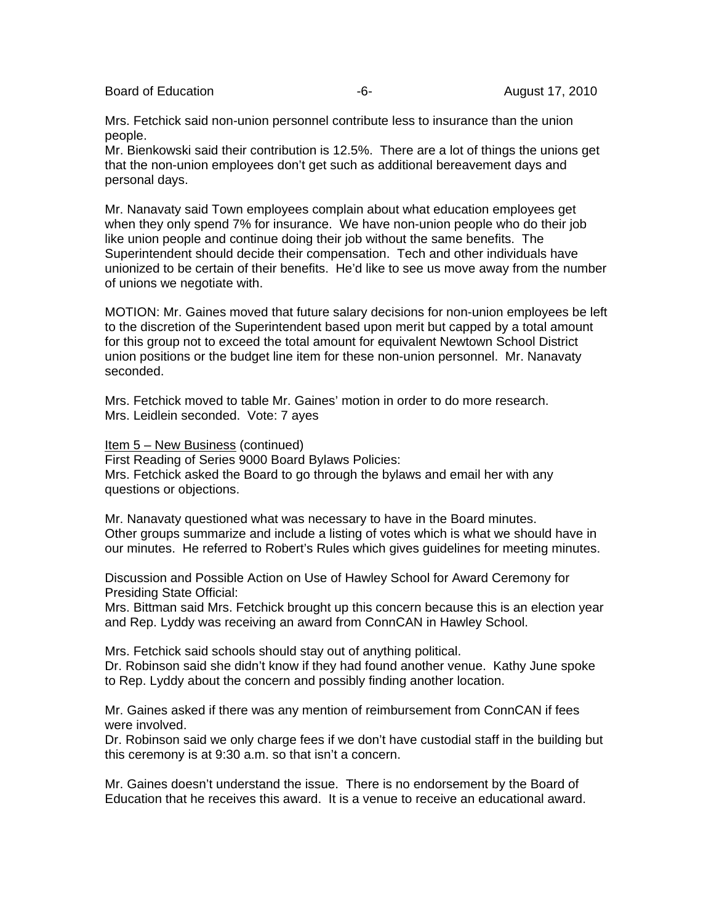Board of Education **-6-** August 17, 2010

Mrs. Fetchick said non-union personnel contribute less to insurance than the union people.

Mr. Bienkowski said their contribution is 12.5%. There are a lot of things the unions get that the non-union employees don't get such as additional bereavement days and personal days.

Mr. Nanavaty said Town employees complain about what education employees get when they only spend 7% for insurance. We have non-union people who do their job like union people and continue doing their job without the same benefits. The Superintendent should decide their compensation. Tech and other individuals have unionized to be certain of their benefits. He'd like to see us move away from the number of unions we negotiate with.

MOTION: Mr. Gaines moved that future salary decisions for non-union employees be left to the discretion of the Superintendent based upon merit but capped by a total amount for this group not to exceed the total amount for equivalent Newtown School District union positions or the budget line item for these non-union personnel. Mr. Nanavaty seconded.

Mrs. Fetchick moved to table Mr. Gaines' motion in order to do more research. Mrs. Leidlein seconded. Vote: 7 ayes

Item 5 – New Business (continued)

First Reading of Series 9000 Board Bylaws Policies:

Mrs. Fetchick asked the Board to go through the bylaws and email her with any questions or objections.

Mr. Nanavaty questioned what was necessary to have in the Board minutes. Other groups summarize and include a listing of votes which is what we should have in our minutes. He referred to Robert's Rules which gives guidelines for meeting minutes.

Discussion and Possible Action on Use of Hawley School for Award Ceremony for Presiding State Official:

Mrs. Bittman said Mrs. Fetchick brought up this concern because this is an election year and Rep. Lyddy was receiving an award from ConnCAN in Hawley School.

Mrs. Fetchick said schools should stay out of anything political. Dr. Robinson said she didn't know if they had found another venue. Kathy June spoke to Rep. Lyddy about the concern and possibly finding another location.

Mr. Gaines asked if there was any mention of reimbursement from ConnCAN if fees were involved.

Dr. Robinson said we only charge fees if we don't have custodial staff in the building but this ceremony is at 9:30 a.m. so that isn't a concern.

Mr. Gaines doesn't understand the issue. There is no endorsement by the Board of Education that he receives this award. It is a venue to receive an educational award.